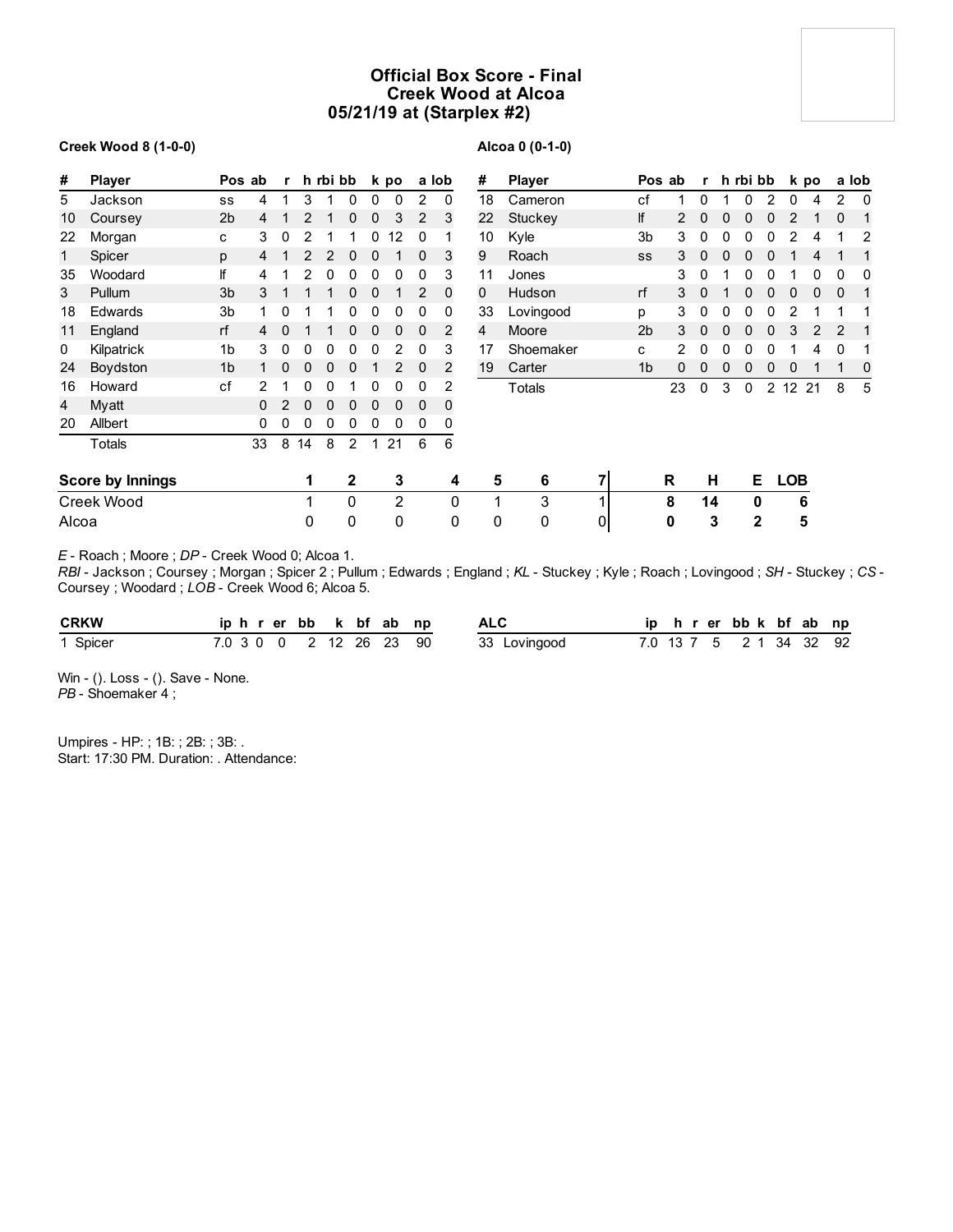# **Official Box Score - Final Creek Wood at Alcoa 05/21/19 at (Starplex #2)**

### **Creek Wood 8 (1-0-0)**

## **Alcoa 0 (0-1-0)**

| #     | <b>Player</b>           | Pos ab         |          | $\mathbf{r}$ |    | h rbi bb |                |          | k po           |                | a lob        | #  | <b>Player</b> |   |                | Pos ab | r            |   | h rbi bb       |   |                   | k po |                | a lob |
|-------|-------------------------|----------------|----------|--------------|----|----------|----------------|----------|----------------|----------------|--------------|----|---------------|---|----------------|--------|--------------|---|----------------|---|-------------------|------|----------------|-------|
| 5     | Jackson                 | SS             | 4        | 1            | 3  |          | 0              | 0        | 0              | $\overline{2}$ | 0            | 18 | Cameron       |   | cf             | 1      | 0            |   |                | っ | 0                 | 4    | $\overline{2}$ | 0     |
| 10    | Coursey                 | 2 <sub>b</sub> | 4        |              | 2  |          | 0              | 0        | 3              | 2              | 3            | 22 | Stuckey       |   | lf             | 2      | 0            | 0 |                | 0 | 2                 |      | $\Omega$       |       |
| 22    | Morgan                  | c              | 3        | 0            | 2  |          |                | 0        | 12             | 0              |              | 10 | Kyle          |   | 3 <sub>b</sub> | 3      | 0            |   |                |   | 2                 | 4    |                | 2     |
| 1     | Spicer                  | p              | 4        |              | 2  | 2        | 0              | $\Omega$ |                | 0              | 3            | 9  | Roach         |   | SS             | 3      | $\Omega$     |   |                |   |                   | 4    |                |       |
| 35    | Woodard                 | lf             | 4        |              | 2  | 0        | 0              | 0        | 0              | 0              | 3            | 11 | Jones         |   |                | 3      | 0            |   |                |   |                   | 0    | 0              | 0     |
| 3     | Pullum                  | 3 <sub>b</sub> | 3        |              |    |          | 0              | $\Omega$ |                | 2              | $\mathbf 0$  | 0  | Hudson        |   | rf             | 3      | $\Omega$     |   | $\bf{0}$       | 0 | 0                 | 0    | $\mathbf{0}$   | 1     |
| 18    | Edwards                 | 3 <sub>b</sub> |          | 0            |    |          | 0              | 0        | 0              | 0              | 0            | 33 | Lovingood     |   | p              | 3      | 0            | 0 | 0              | 0 | 2                 |      |                |       |
| 11    | England                 | rf             | 4        | 0            |    |          | 0              | 0        | 0              | 0              | 2            | 4  | Moore         |   | 2 <sub>b</sub> | 3      | $\mathbf{0}$ | 0 | 0              | 0 | 3                 | 2    | 2              |       |
| 0     | Kilpatrick              | 1 <sub>b</sub> | 3        | 0            | 0  | 0        | 0              | 0        |                | 0              | 3            | 17 | Shoemaker     |   | C              | 2      | 0            | 0 |                |   |                   |      | 0              |       |
| 24    | Boydston                | 1 <sub>b</sub> |          | 0            | 0  | 0        | 0              |          | 2              | 0              | 2            | 19 | Carter        |   | 1 <sub>b</sub> | 0      | 0            | 0 |                | 0 |                   |      |                | 0     |
| 16    | Howard                  | cf             |          |              | 0  | ი        |                | 0        | O              | 0              | 2            |    | Totals        |   |                | 23     | 0            | 3 | 0              | 2 | $12 \overline{ }$ | 21   | 8              | 5     |
| 4     | Myatt                   |                | $\Omega$ | 2            | 0  | $\Omega$ | 0              | 0        | $\mathbf{0}$   | $\Omega$       | 0            |    |               |   |                |        |              |   |                |   |                   |      |                |       |
| 20    | Allbert                 |                | $\Omega$ | 0            | 0  | 0        | 0              | 0        | 0              | 0              | 0            |    |               |   |                |        |              |   |                |   |                   |      |                |       |
|       | Totals                  |                | 33       | 8            | 14 | 8        | $\overline{2}$ | 1        | 21             | 6              | 6            |    |               |   |                |        |              |   |                |   |                   |      |                |       |
|       | <b>Score by Innings</b> |                |          |              | 1  |          | $\mathbf{2}$   |          | 3              |                | 4            | 5  | 6             | 7 |                | R      | н            |   |                | Е | <b>LOB</b>        |      |                |       |
|       | Creek Wood              |                |          |              |    |          | 0              |          | $\overline{2}$ |                | $\mathbf{0}$ | 4  | 3             |   |                | 8      | 14           |   | 0              |   |                   | 6    |                |       |
| Alcoa |                         |                |          |              | 0  |          | 0              |          | 0              |                | 0            | 0  | 0             | 0 |                | 0      |              | 3 | $\overline{2}$ |   |                   | 5    |                |       |

*E* - Roach ; Moore ; *DP* - Creek Wood 0; Alcoa 1.

*RBI* - Jackson ; Coursey ; Morgan ; Spicer 2 ; Pullum ; Edwards ; England ; *KL* - Stuckey ; Kyle ; Roach ; Lovingood ; *SH* - Stuckey ; *CS* - Coursey ; Woodard ; *LOB* - Creek Wood 6; Alcoa 5.

| <b>CRKW</b> |  |  |  | iphrerbb k bf ab np     | <b>ALC</b>   |  |  | ip h r er bb k bf ab np |  |  |
|-------------|--|--|--|-------------------------|--------------|--|--|-------------------------|--|--|
| 1 Spicer    |  |  |  | 7.0 3 0 0 2 12 26 23 90 | 33 Lovingood |  |  | 7.0 13 7 5 2 1 34 32 92 |  |  |

Win - (). Loss - (). Save - None. *PB* - Shoemaker 4 ;

Umpires - HP: ; 1B: ; 2B: ; 3B: . Start: 17:30 PM. Duration: . Attendance: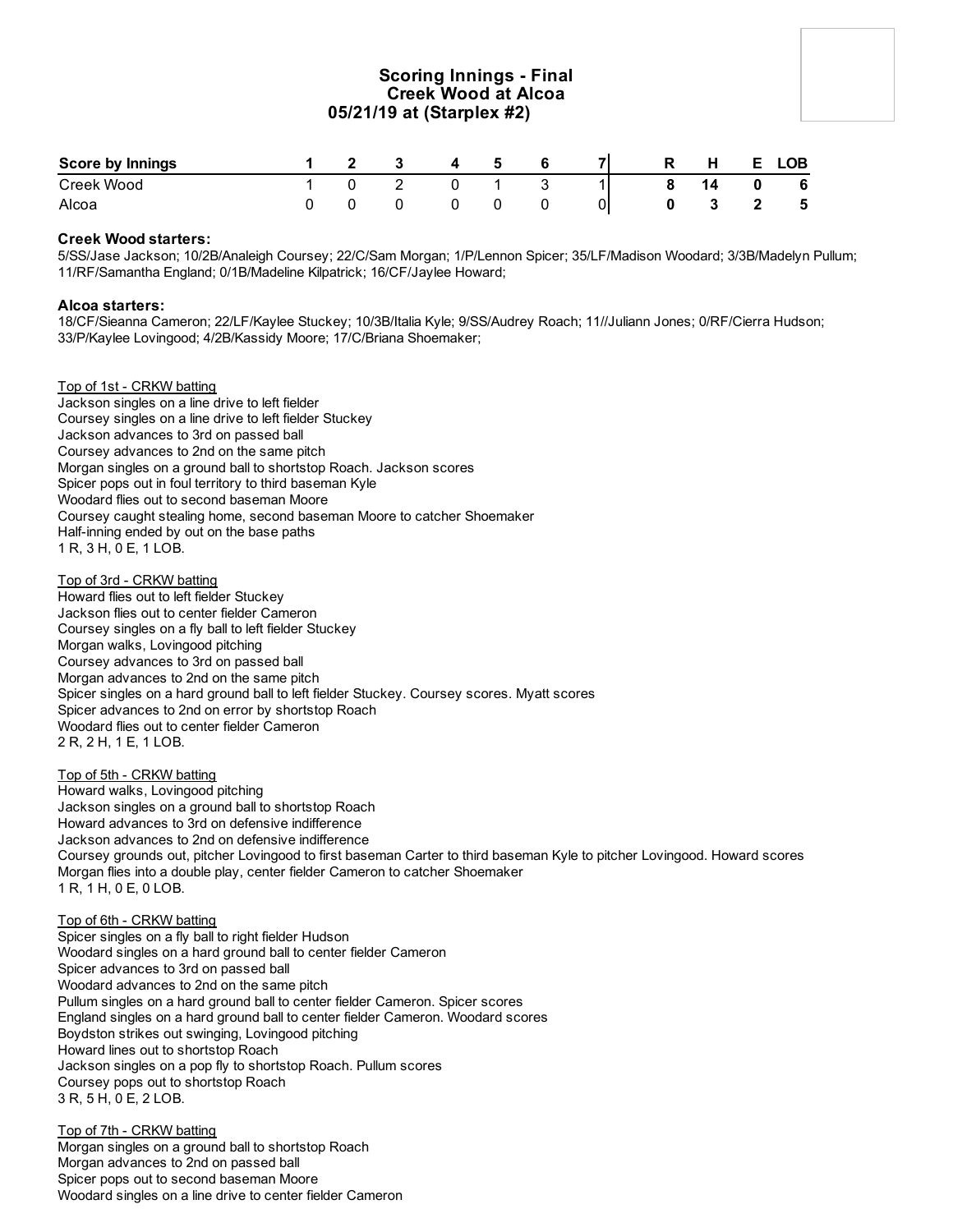# **Scoring Innings - Final Creek Wood at Alcoa 05/21/19 at (Starplex #2)**

| <b>Score by Innings</b> |  | $\overline{\mathbf{3}}$ | 4 | - 5 |  | - R | H  | E. | <b>LOB</b> |
|-------------------------|--|-------------------------|---|-----|--|-----|----|----|------------|
| Creek Wood              |  |                         |   |     |  |     | 14 |    | - 6        |
| Alcoa                   |  |                         |   |     |  |     |    |    | 5          |

### **Creek Wood starters:**

5/SS/Jase Jackson; 10/2B/Analeigh Coursey; 22/C/Sam Morgan; 1/P/Lennon Spicer; 35/LF/Madison Woodard; 3/3B/Madelyn Pullum; 11/RF/Samantha England; 0/1B/Madeline Kilpatrick; 16/CF/Jaylee Howard;

### **Alcoa starters:**

18/CF/Sieanna Cameron; 22/LF/Kaylee Stuckey; 10/3B/Italia Kyle; 9/SS/Audrey Roach; 11//Juliann Jones; 0/RF/Cierra Hudson; 33/P/Kaylee Lovingood; 4/2B/Kassidy Moore; 17/C/Briana Shoemaker;

### Top of 1st - CRKW batting

Jackson singles on a line drive to left fielder Coursey singles on a line drive to left fielder Stuckey Jackson advances to 3rd on passed ball Coursey advances to 2nd on the same pitch Morgan singles on a ground ball to shortstop Roach. Jackson scores Spicer pops out in foul territory to third baseman Kyle Woodard flies out to second baseman Moore Coursey caught stealing home, second baseman Moore to catcher Shoemaker Half-inning ended by out on the base paths 1 R, 3 H, 0 E, 1 LOB.

Top of 3rd - CRKW batting Howard flies out to left fielder Stuckey Jackson flies out to center fielder Cameron Coursey singles on a fly ball to left fielder Stuckey Morgan walks, Lovingood pitching Coursey advances to 3rd on passed ball Morgan advances to 2nd on the same pitch Spicer singles on a hard ground ball to left fielder Stuckey. Coursey scores. Myatt scores Spicer advances to 2nd on error by shortstop Roach Woodard flies out to center fielder Cameron 2 R, 2 H, 1 E, 1 LOB.

### Top of 5th - CRKW batting

Howard walks, Lovingood pitching Jackson singles on a ground ball to shortstop Roach Howard advances to 3rd on defensive indifference Jackson advances to 2nd on defensive indifference Coursey grounds out, pitcher Lovingood to first baseman Carter to third baseman Kyle to pitcher Lovingood. Howard scores Morgan flies into a double play, center fielder Cameron to catcher Shoemaker 1 R, 1 H, 0 E, 0 LOB.

### Top of 6th - CRKW batting

Spicer singles on a fly ball to right fielder Hudson Woodard singles on a hard ground ball to center fielder Cameron Spicer advances to 3rd on passed ball Woodard advances to 2nd on the same pitch Pullum singles on a hard ground ball to center fielder Cameron. Spicer scores England singles on a hard ground ball to center fielder Cameron. Woodard scores Boydston strikes out swinging, Lovingood pitching Howard lines out to shortstop Roach Jackson singles on a pop fly to shortstop Roach. Pullum scores Coursey pops out to shortstop Roach 3 R, 5 H, 0 E, 2 LOB.

Top of 7th - CRKW batting Morgan singles on a ground ball to shortstop Roach Morgan advances to 2nd on passed ball Spicer pops out to second baseman Moore Woodard singles on a line drive to center fielder Cameron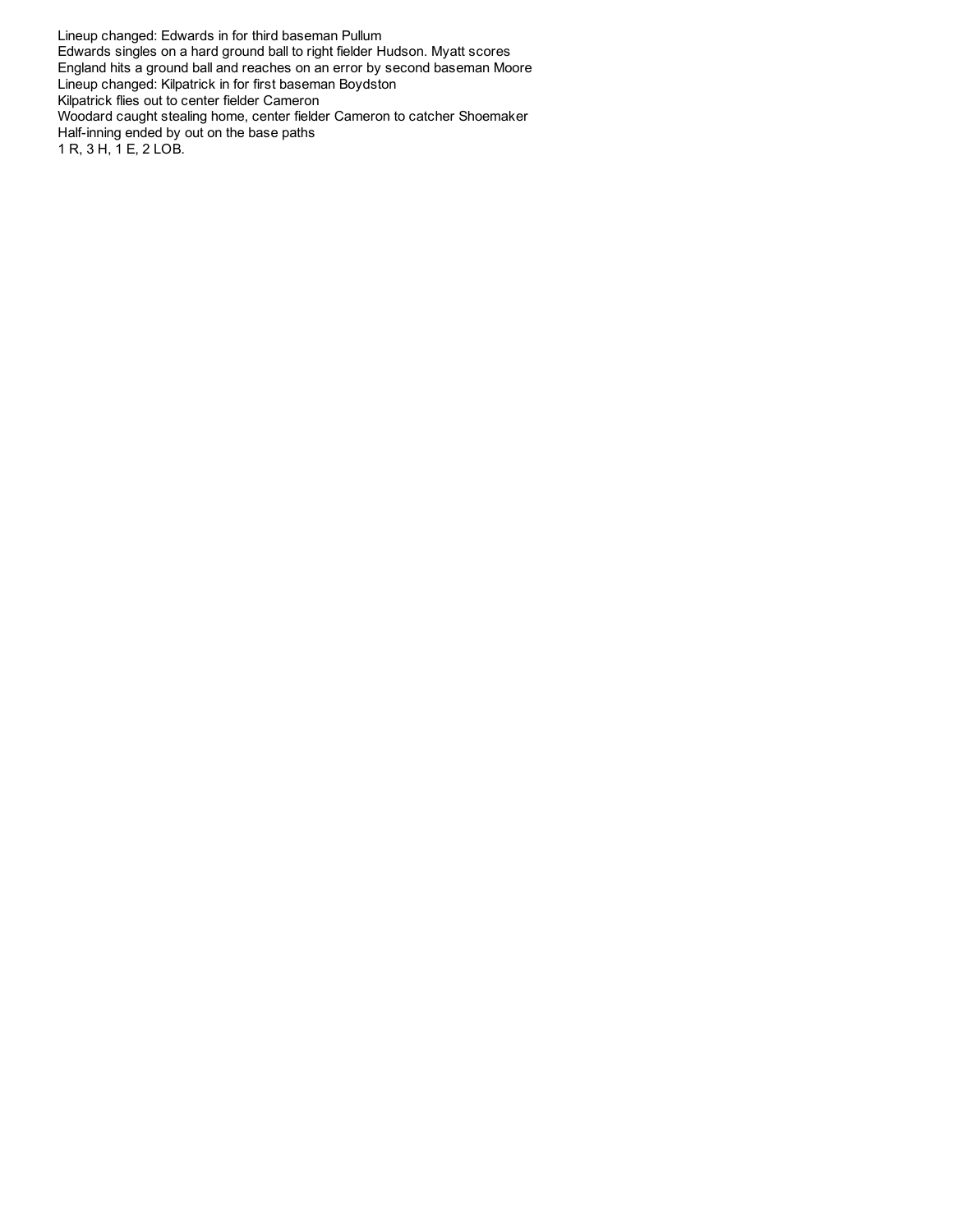Lineup changed: Edwards in for third baseman Pullum Edwards singles on a hard ground ball to right fielder Hudson. Myatt scores England hits a ground ball and reaches on an error by second baseman Moore Lineup changed: Kilpatrick in for first baseman Boydston Kilpatrick flies out to center fielder Cameron Woodard caught stealing home, center fielder Cameron to catcher Shoemaker Half-inning ended by out on the base paths 1 R, 3 H, 1 E, 2 LOB.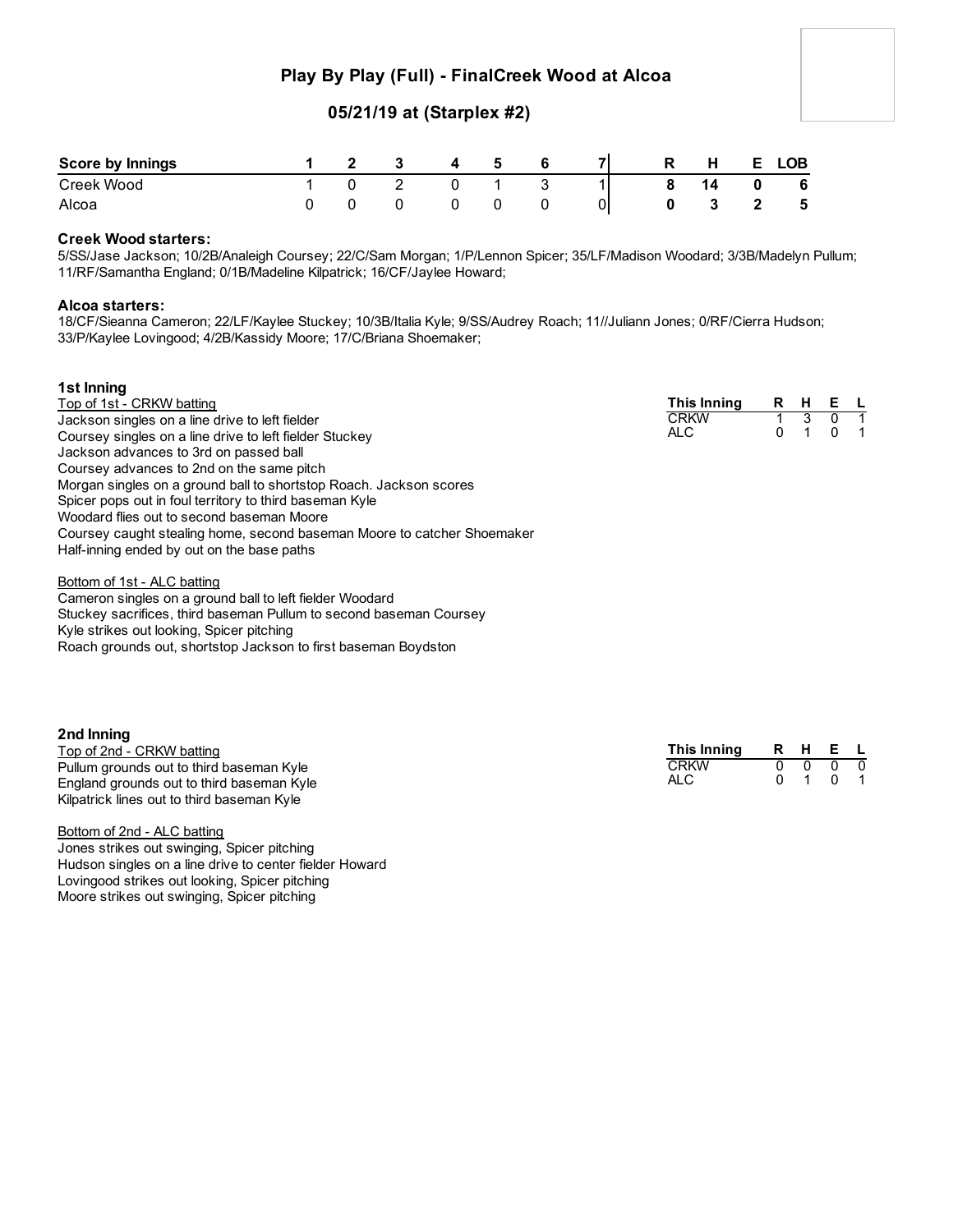# **Play By Play (Full) - FinalCreek Wood at Alcoa**

# **05/21/19 at (Starplex #2)**

| <b>Score by Innings</b> |  |  | Б. |  | D | н | ∟OB |
|-------------------------|--|--|----|--|---|---|-----|
| Creek Wood              |  |  |    |  |   |   | - 6 |
| Alcoa                   |  |  |    |  |   |   | -5  |

### **Creek Wood starters:**

5/SS/Jase Jackson; 10/2B/Analeigh Coursey; 22/C/Sam Morgan; 1/P/Lennon Spicer; 35/LF/Madison Woodard; 3/3B/Madelyn Pullum; 11/RF/Samantha England; 0/1B/Madeline Kilpatrick; 16/CF/Jaylee Howard;

#### **Alcoa starters:**

**1st Inning**

18/CF/Sieanna Cameron; 22/LF/Kaylee Stuckey; 10/3B/Italia Kyle; 9/SS/Audrey Roach; 11//Juliann Jones; 0/RF/Cierra Hudson; 33/P/Kaylee Lovingood; 4/2B/Kassidy Moore; 17/C/Briana Shoemaker;

| TST INNING                                                              |             |     |             |  |
|-------------------------------------------------------------------------|-------------|-----|-------------|--|
| Top of 1st - CRKW batting                                               | This Inning | R H | E L         |  |
| Jackson singles on a line drive to left fielder                         | <b>CRKW</b> |     |             |  |
| Coursey singles on a line drive to left fielder Stuckey                 | ALC.        |     | $0 \quad 1$ |  |
| Jackson advances to 3rd on passed ball                                  |             |     |             |  |
| Coursey advances to 2nd on the same pitch                               |             |     |             |  |
| Morgan singles on a ground ball to shortstop Roach. Jackson scores      |             |     |             |  |
| Spicer pops out in foul territory to third baseman Kyle                 |             |     |             |  |
| Woodard flies out to second baseman Moore                               |             |     |             |  |
| Coursey caught stealing home, second baseman Moore to catcher Shoemaker |             |     |             |  |
| Half-inning ended by out on the base paths                              |             |     |             |  |
|                                                                         |             |     |             |  |

Bottom of 1st - ALC batting Cameron singles on a ground ball to left fielder Woodard Stuckey sacrifices, third baseman Pullum to second baseman Coursey Kyle strikes out looking, Spicer pitching Roach grounds out, shortstop Jackson to first baseman Boydston

### **2nd Inning**

| Top of 2nd - CRKW batting                  | This Inning |    | R H E L                       |  |
|--------------------------------------------|-------------|----|-------------------------------|--|
| Pullum grounds out to third baseman Kyle   | <b>CRKW</b> |    | $0\quad 0\quad 0\quad 0\quad$ |  |
| England grounds out to third baseman Kyle  | <b>ALC</b>  | n. | 1 0 1                         |  |
| Kilpatrick lines out to third baseman Kyle |             |    |                               |  |

Bottom of 2nd - ALC batting Jones strikes out swinging, Spicer pitching Hudson singles on a line drive to center fielder Howard Lovingood strikes out looking, Spicer pitching Moore strikes out swinging, Spicer pitching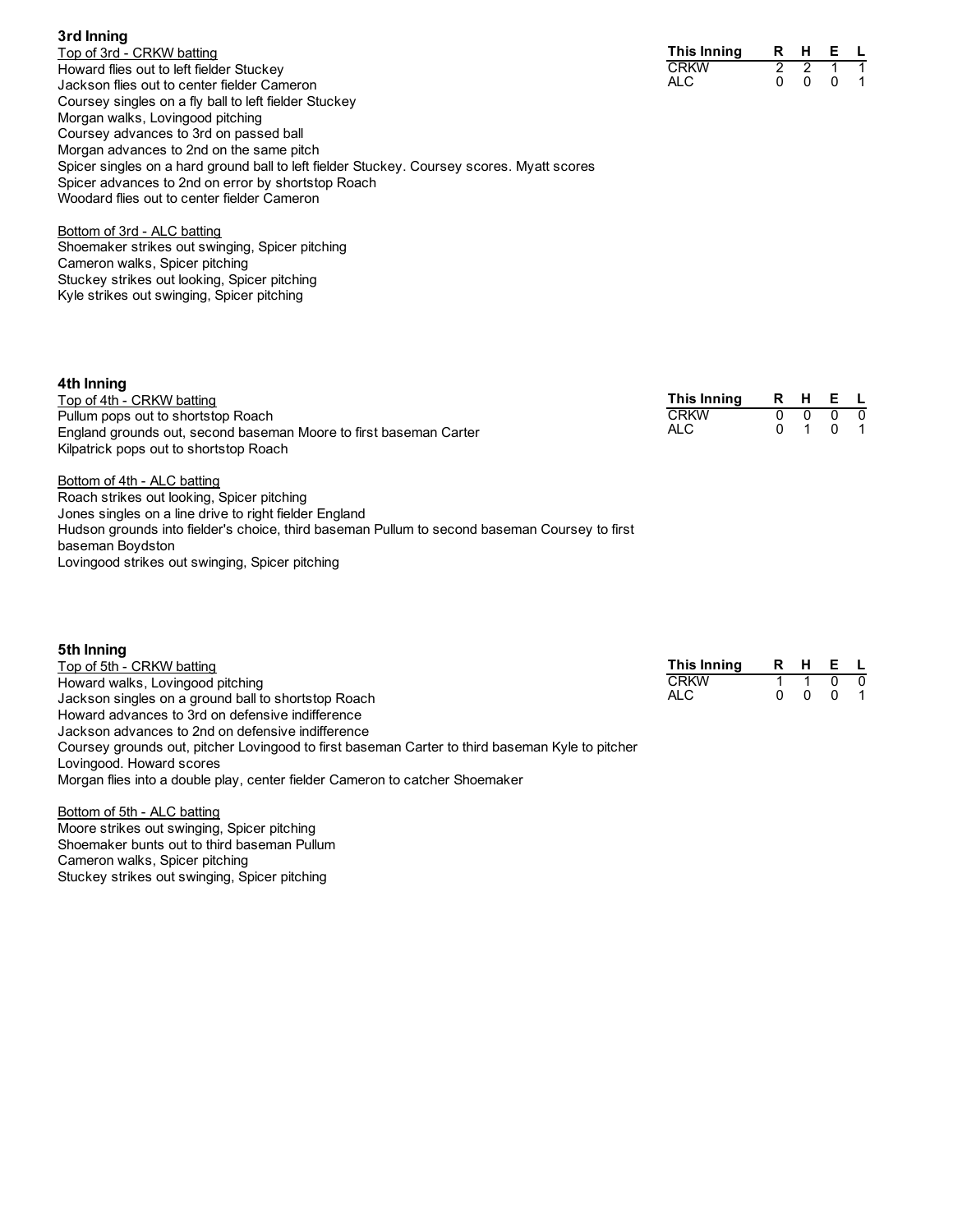| Top of 3rd - CRKW batting                                                                  |
|--------------------------------------------------------------------------------------------|
| Howard flies out to left fielder Stuckey                                                   |
| Jackson flies out to center fielder Cameron                                                |
| Coursey singles on a fly ball to left fielder Stuckey                                      |
| Morgan walks, Lovingood pitching                                                           |
| Coursey advances to 3rd on passed ball                                                     |
| Morgan advances to 2nd on the same pitch                                                   |
| Spicer singles on a hard ground ball to left fielder Stuckey. Coursey scores. Myatt scores |
| Spicer advances to 2nd on error by shortstop Roach                                         |
| Woodard flies out to center fielder Cameron                                                |

| This Inning | R | н | F |  |
|-------------|---|---|---|--|
| <b>CRKW</b> |   |   |   |  |
| ALC         |   |   | n |  |

Bottom of 3rd - ALC batting Shoemaker strikes out swinging, Spicer pitching Cameron walks, Spicer pitching Stuckey strikes out looking, Spicer pitching Kyle strikes out swinging, Spicer pitching

**3rd Inning**

| 4th Inning                                                                                    |             |     |          |                          |
|-----------------------------------------------------------------------------------------------|-------------|-----|----------|--------------------------|
| Top of 4th - CRKW batting                                                                     | This Inning | R H | E L      |                          |
| Pullum pops out to shortstop Roach                                                            | <b>CRKW</b> |     |          | - 0                      |
| England grounds out, second baseman Moore to first baseman Carter                             | ALC.        |     | $\Omega$ | $\overline{\phantom{1}}$ |
| Kilpatrick pops out to shortstop Roach                                                        |             |     |          |                          |
| Bottom of 4th - ALC batting                                                                   |             |     |          |                          |
| Roach strikes out looking, Spicer pitching                                                    |             |     |          |                          |
| Jones singles on a line drive to right fielder England                                        |             |     |          |                          |
| Hudson grounds into fielder's choice, third baseman Pullum to second baseman Coursey to first |             |     |          |                          |
| baseman Boydston                                                                              |             |     |          |                          |

Lovingood strikes out swinging, Spicer pitching

| 5th Inning                                                                                                                  |             |   |          |          |                  |
|-----------------------------------------------------------------------------------------------------------------------------|-------------|---|----------|----------|------------------|
| Top of 5th - CRKW batting                                                                                                   | This Inning | R | H        | E L      |                  |
| Howard walks, Lovingood pitching                                                                                            | <b>CRKW</b> |   |          |          | - 0              |
| Jackson singles on a ground ball to shortstop Roach                                                                         | ALC.        | 0 | $\Omega$ | $\Omega$ | $\blacksquare$ 1 |
| Howard advances to 3rd on defensive indifference                                                                            |             |   |          |          |                  |
| Jackson advances to 2nd on defensive indifference                                                                           |             |   |          |          |                  |
| Coursey grounds out, pitcher Lovingood to first baseman Carter to third baseman Kyle to pitcher<br>Lovingood. Howard scores |             |   |          |          |                  |
| Morgan flies into a double play, center fielder Cameron to catcher Shoemaker                                                |             |   |          |          |                  |
| Bottom of 5th - ALC batting                                                                                                 |             |   |          |          |                  |
| Moore strikes out swinging. Spicer pitching                                                                                 |             |   |          |          |                  |

Moore strikes out swinging, Spicer pitching Shoemaker bunts out to third baseman Pullum Cameron walks, Spicer pitching Stuckey strikes out swinging, Spicer pitching